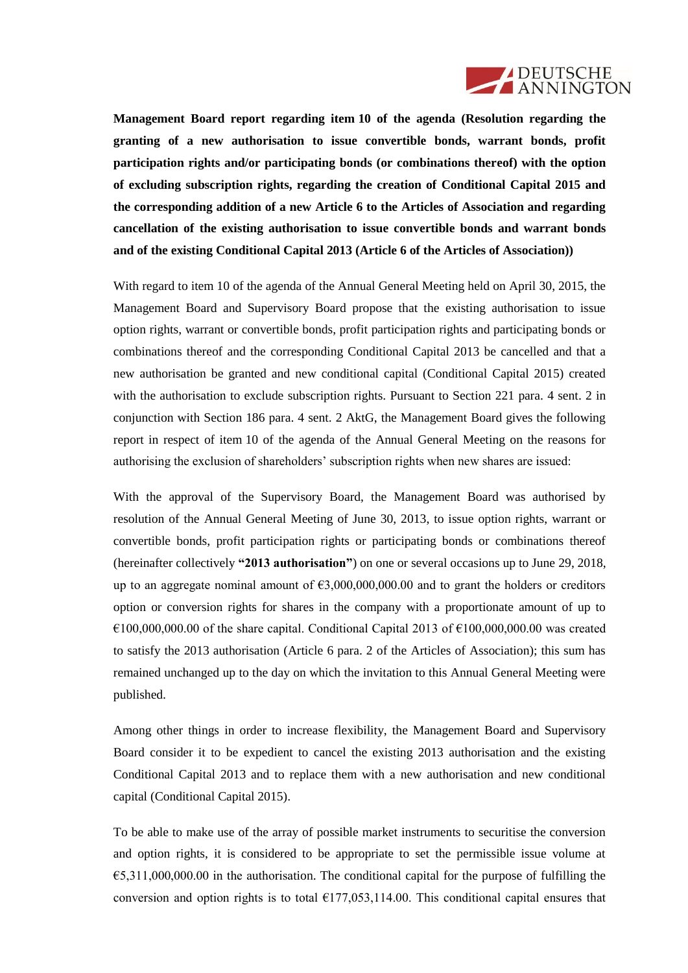

**Management Board report regarding item 10 of the agenda (Resolution regarding the granting of a new authorisation to issue convertible bonds, warrant bonds, profit participation rights and/or participating bonds (or combinations thereof) with the option of excluding subscription rights, regarding the creation of Conditional Capital 2015 and the corresponding addition of a new Article 6 to the Articles of Association and regarding cancellation of the existing authorisation to issue convertible bonds and warrant bonds and of the existing Conditional Capital 2013 (Article 6 of the Articles of Association))**

With regard to item 10 of the agenda of the Annual General Meeting held on April 30, 2015, the Management Board and Supervisory Board propose that the existing authorisation to issue option rights, warrant or convertible bonds, profit participation rights and participating bonds or combinations thereof and the corresponding Conditional Capital 2013 be cancelled and that a new authorisation be granted and new conditional capital (Conditional Capital 2015) created with the authorisation to exclude subscription rights. Pursuant to Section 221 para. 4 sent. 2 in conjunction with Section 186 para. 4 sent. 2 AktG, the Management Board gives the following report in respect of item 10 of the agenda of the Annual General Meeting on the reasons for authorising the exclusion of shareholders' subscription rights when new shares are issued:

With the approval of the Supervisory Board, the Management Board was authorised by resolution of the Annual General Meeting of June 30, 2013, to issue option rights, warrant or convertible bonds, profit participation rights or participating bonds or combinations thereof (hereinafter collectively **"2013 authorisation"**) on one or several occasions up to June 29, 2018, up to an aggregate nominal amount of  $\epsilon$ 3,000,000,000.00 and to grant the holders or creditors option or conversion rights for shares in the company with a proportionate amount of up to  $\epsilon$ 100,000,000.00 of the share capital. Conditional Capital 2013 of  $\epsilon$ 100,000,000.00 was created to satisfy the 2013 authorisation (Article 6 para. 2 of the Articles of Association); this sum has remained unchanged up to the day on which the invitation to this Annual General Meeting were published.

Among other things in order to increase flexibility, the Management Board and Supervisory Board consider it to be expedient to cancel the existing 2013 authorisation and the existing Conditional Capital 2013 and to replace them with a new authorisation and new conditional capital (Conditional Capital 2015).

To be able to make use of the array of possible market instruments to securitise the conversion and option rights, it is considered to be appropriate to set the permissible issue volume at  $\epsilon$ 5,311,000,000.00 in the authorisation. The conditional capital for the purpose of fulfilling the conversion and option rights is to total  $£177,053,114.00$ . This conditional capital ensures that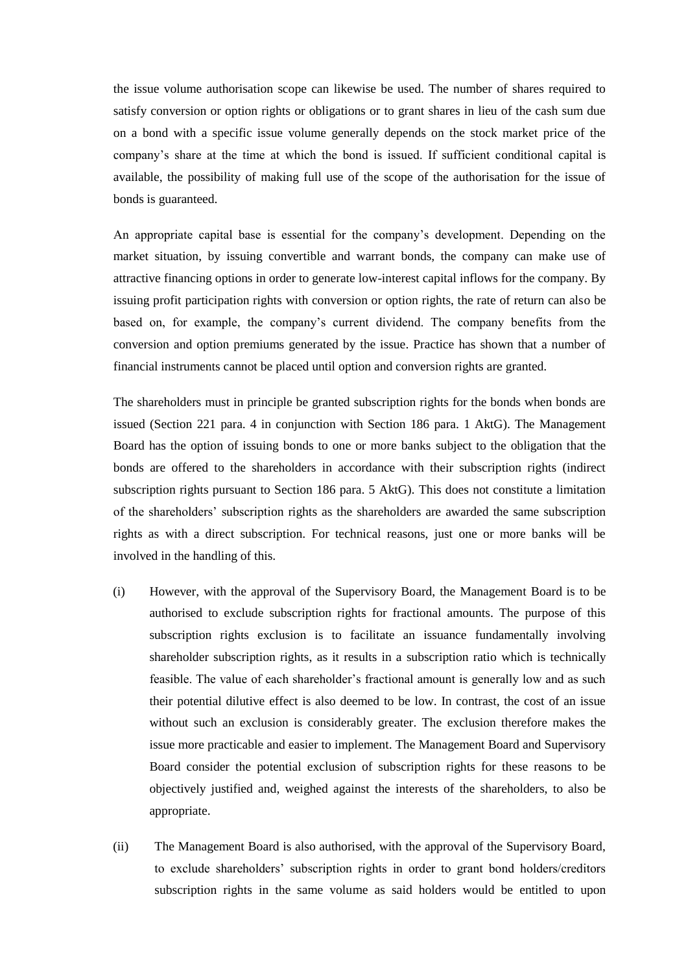the issue volume authorisation scope can likewise be used. The number of shares required to satisfy conversion or option rights or obligations or to grant shares in lieu of the cash sum due on a bond with a specific issue volume generally depends on the stock market price of the company's share at the time at which the bond is issued. If sufficient conditional capital is available, the possibility of making full use of the scope of the authorisation for the issue of bonds is guaranteed.

An appropriate capital base is essential for the company's development. Depending on the market situation, by issuing convertible and warrant bonds, the company can make use of attractive financing options in order to generate low-interest capital inflows for the company. By issuing profit participation rights with conversion or option rights, the rate of return can also be based on, for example, the company's current dividend. The company benefits from the conversion and option premiums generated by the issue. Practice has shown that a number of financial instruments cannot be placed until option and conversion rights are granted.

The shareholders must in principle be granted subscription rights for the bonds when bonds are issued (Section 221 para. 4 in conjunction with Section 186 para. 1 AktG). The Management Board has the option of issuing bonds to one or more banks subject to the obligation that the bonds are offered to the shareholders in accordance with their subscription rights (indirect subscription rights pursuant to Section 186 para. 5 AktG). This does not constitute a limitation of the shareholders' subscription rights as the shareholders are awarded the same subscription rights as with a direct subscription. For technical reasons, just one or more banks will be involved in the handling of this.

- (i) However, with the approval of the Supervisory Board, the Management Board is to be authorised to exclude subscription rights for fractional amounts. The purpose of this subscription rights exclusion is to facilitate an issuance fundamentally involving shareholder subscription rights, as it results in a subscription ratio which is technically feasible. The value of each shareholder's fractional amount is generally low and as such their potential dilutive effect is also deemed to be low. In contrast, the cost of an issue without such an exclusion is considerably greater. The exclusion therefore makes the issue more practicable and easier to implement. The Management Board and Supervisory Board consider the potential exclusion of subscription rights for these reasons to be objectively justified and, weighed against the interests of the shareholders, to also be appropriate.
- (ii) The Management Board is also authorised, with the approval of the Supervisory Board, to exclude shareholders' subscription rights in order to grant bond holders/creditors subscription rights in the same volume as said holders would be entitled to upon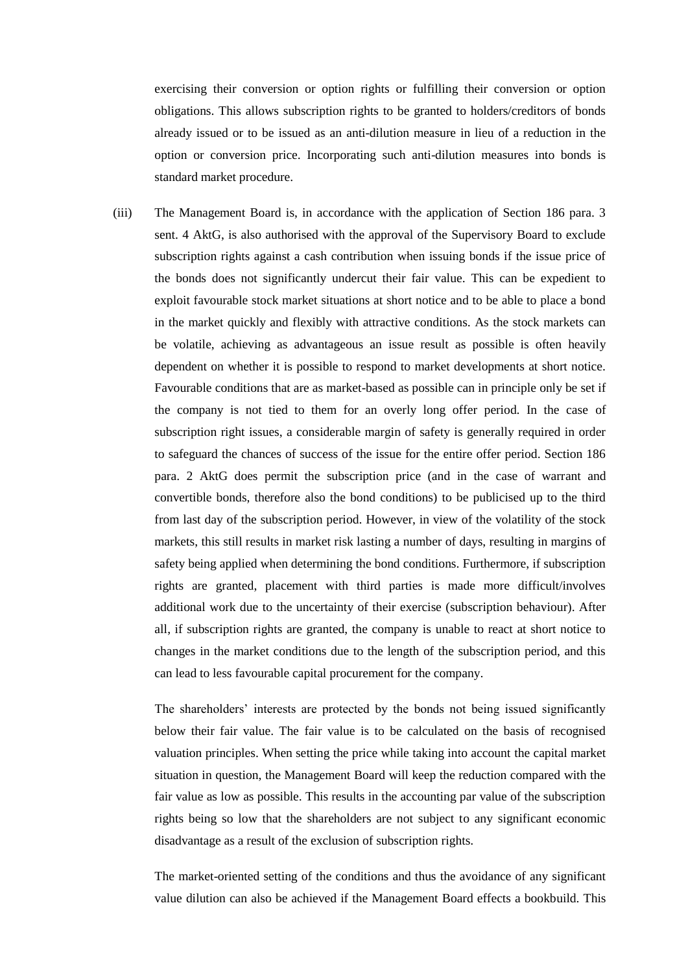exercising their conversion or option rights or fulfilling their conversion or option obligations. This allows subscription rights to be granted to holders/creditors of bonds already issued or to be issued as an anti-dilution measure in lieu of a reduction in the option or conversion price. Incorporating such anti-dilution measures into bonds is standard market procedure.

(iii) The Management Board is, in accordance with the application of Section 186 para. 3 sent. 4 AktG, is also authorised with the approval of the Supervisory Board to exclude subscription rights against a cash contribution when issuing bonds if the issue price of the bonds does not significantly undercut their fair value. This can be expedient to exploit favourable stock market situations at short notice and to be able to place a bond in the market quickly and flexibly with attractive conditions. As the stock markets can be volatile, achieving as advantageous an issue result as possible is often heavily dependent on whether it is possible to respond to market developments at short notice. Favourable conditions that are as market-based as possible can in principle only be set if the company is not tied to them for an overly long offer period. In the case of subscription right issues, a considerable margin of safety is generally required in order to safeguard the chances of success of the issue for the entire offer period. Section 186 para. 2 AktG does permit the subscription price (and in the case of warrant and convertible bonds, therefore also the bond conditions) to be publicised up to the third from last day of the subscription period. However, in view of the volatility of the stock markets, this still results in market risk lasting a number of days, resulting in margins of safety being applied when determining the bond conditions. Furthermore, if subscription rights are granted, placement with third parties is made more difficult/involves additional work due to the uncertainty of their exercise (subscription behaviour). After all, if subscription rights are granted, the company is unable to react at short notice to changes in the market conditions due to the length of the subscription period, and this can lead to less favourable capital procurement for the company.

The shareholders' interests are protected by the bonds not being issued significantly below their fair value. The fair value is to be calculated on the basis of recognised valuation principles. When setting the price while taking into account the capital market situation in question, the Management Board will keep the reduction compared with the fair value as low as possible. This results in the accounting par value of the subscription rights being so low that the shareholders are not subject to any significant economic disadvantage as a result of the exclusion of subscription rights.

The market-oriented setting of the conditions and thus the avoidance of any significant value dilution can also be achieved if the Management Board effects a bookbuild. This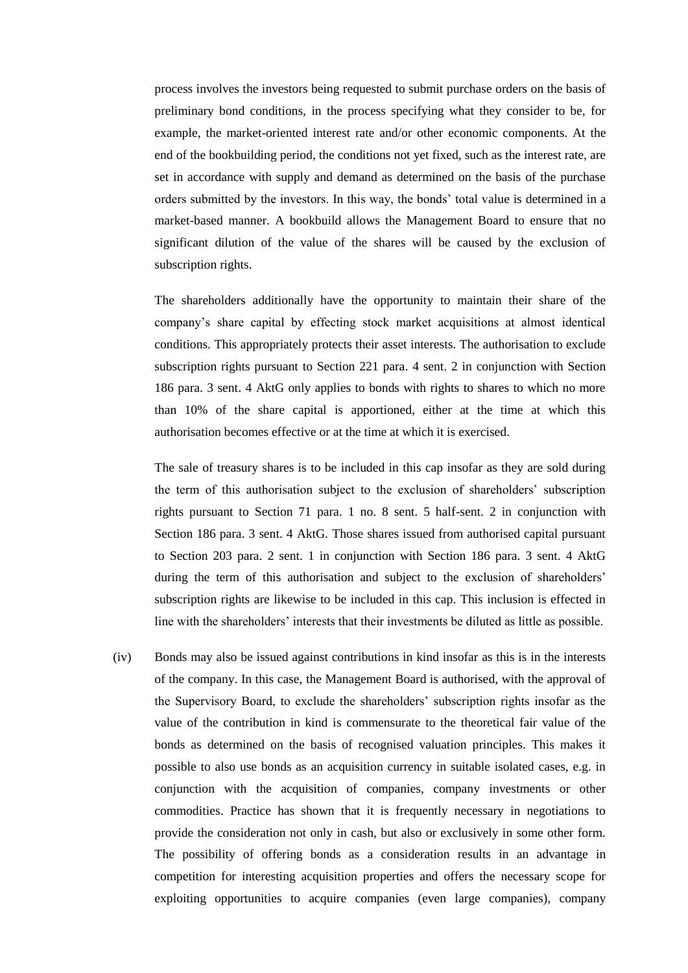process involves the investors being requested to submit purchase orders on the basis of preliminary bond conditions, in the process specifying what they consider to be, for example, the market-oriented interest rate and/or other economic components. At the end of the bookbuilding period, the conditions not yet fixed, such as the interest rate, are set in accordance with supply and demand as determined on the basis of the purchase orders submitted by the investors. In this way, the bonds' total value is determined in a market-based manner. A bookbuild allows the Management Board to ensure that no significant dilution of the value of the shares will be caused by the exclusion of subscription rights.

The shareholders additionally have the opportunity to maintain their share of the company's share capital by effecting stock market acquisitions at almost identical conditions. This appropriately protects their asset interests. The authorisation to exclude subscription rights pursuant to Section 221 para. 4 sent. 2 in conjunction with Section 186 para. 3 sent. 4 AktG only applies to bonds with rights to shares to which no more than 10% of the share capital is apportioned, either at the time at which this authorisation becomes effective or at the time at which it is exercised.

The sale of treasury shares is to be included in this cap insofar as they are sold during the term of this authorisation subject to the exclusion of shareholders' subscription rights pursuant to Section 71 para. 1 no. 8 sent. 5 half-sent. 2 in conjunction with Section 186 para. 3 sent. 4 AktG. Those shares issued from authorised capital pursuant to Section 203 para. 2 sent. 1 in conjunction with Section 186 para. 3 sent. 4 AktG during the term of this authorisation and subject to the exclusion of shareholders' subscription rights are likewise to be included in this cap. This inclusion is effected in line with the shareholders' interests that their investments be diluted as little as possible.

(iv) Bonds may also be issued against contributions in kind insofar as this is in the interests of the company. In this case, the Management Board is authorised, with the approval of the Supervisory Board, to exclude the shareholders' subscription rights insofar as the value of the contribution in kind is commensurate to the theoretical fair value of the bonds as determined on the basis of recognised valuation principles. This makes it possible to also use bonds as an acquisition currency in suitable isolated cases, e.g. in conjunction with the acquisition of companies, company investments or other commodities. Practice has shown that it is frequently necessary in negotiations to provide the consideration not only in cash, but also or exclusively in some other form. The possibility of offering bonds as a consideration results in an advantage in competition for interesting acquisition properties and offers the necessary scope for exploiting opportunities to acquire companies (even large companies), company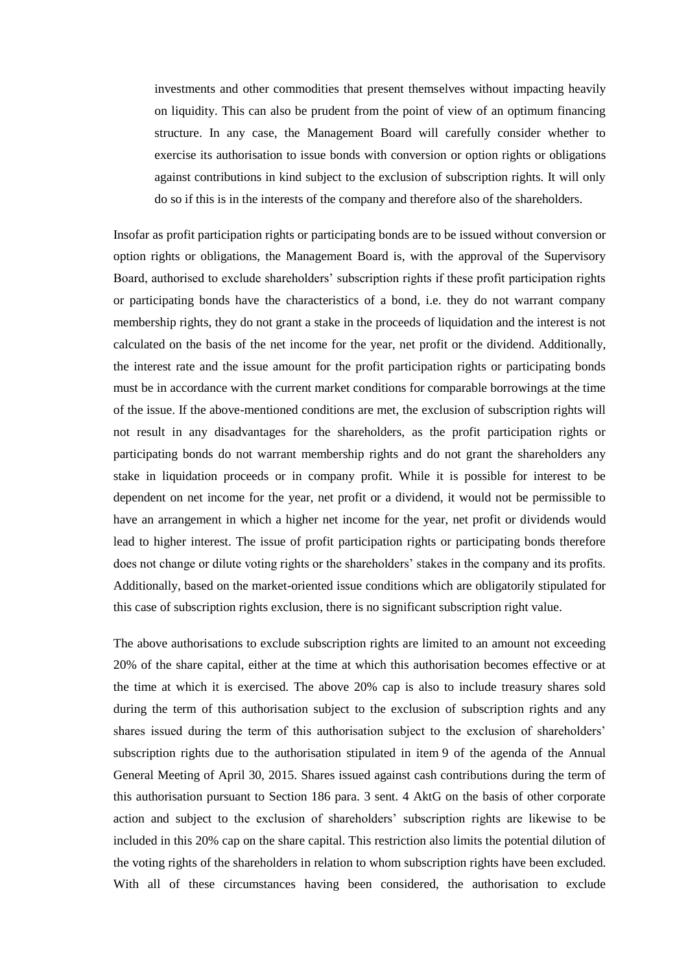investments and other commodities that present themselves without impacting heavily on liquidity. This can also be prudent from the point of view of an optimum financing structure. In any case, the Management Board will carefully consider whether to exercise its authorisation to issue bonds with conversion or option rights or obligations against contributions in kind subject to the exclusion of subscription rights. It will only do so if this is in the interests of the company and therefore also of the shareholders.

Insofar as profit participation rights or participating bonds are to be issued without conversion or option rights or obligations, the Management Board is, with the approval of the Supervisory Board, authorised to exclude shareholders' subscription rights if these profit participation rights or participating bonds have the characteristics of a bond, i.e. they do not warrant company membership rights, they do not grant a stake in the proceeds of liquidation and the interest is not calculated on the basis of the net income for the year, net profit or the dividend. Additionally, the interest rate and the issue amount for the profit participation rights or participating bonds must be in accordance with the current market conditions for comparable borrowings at the time of the issue. If the above-mentioned conditions are met, the exclusion of subscription rights will not result in any disadvantages for the shareholders, as the profit participation rights or participating bonds do not warrant membership rights and do not grant the shareholders any stake in liquidation proceeds or in company profit. While it is possible for interest to be dependent on net income for the year, net profit or a dividend, it would not be permissible to have an arrangement in which a higher net income for the year, net profit or dividends would lead to higher interest. The issue of profit participation rights or participating bonds therefore does not change or dilute voting rights or the shareholders' stakes in the company and its profits. Additionally, based on the market-oriented issue conditions which are obligatorily stipulated for this case of subscription rights exclusion, there is no significant subscription right value.

The above authorisations to exclude subscription rights are limited to an amount not exceeding 20% of the share capital, either at the time at which this authorisation becomes effective or at the time at which it is exercised. The above 20% cap is also to include treasury shares sold during the term of this authorisation subject to the exclusion of subscription rights and any shares issued during the term of this authorisation subject to the exclusion of shareholders' subscription rights due to the authorisation stipulated in item 9 of the agenda of the Annual General Meeting of April 30, 2015. Shares issued against cash contributions during the term of this authorisation pursuant to Section 186 para. 3 sent. 4 AktG on the basis of other corporate action and subject to the exclusion of shareholders' subscription rights are likewise to be included in this 20% cap on the share capital. This restriction also limits the potential dilution of the voting rights of the shareholders in relation to whom subscription rights have been excluded. With all of these circumstances having been considered, the authorisation to exclude